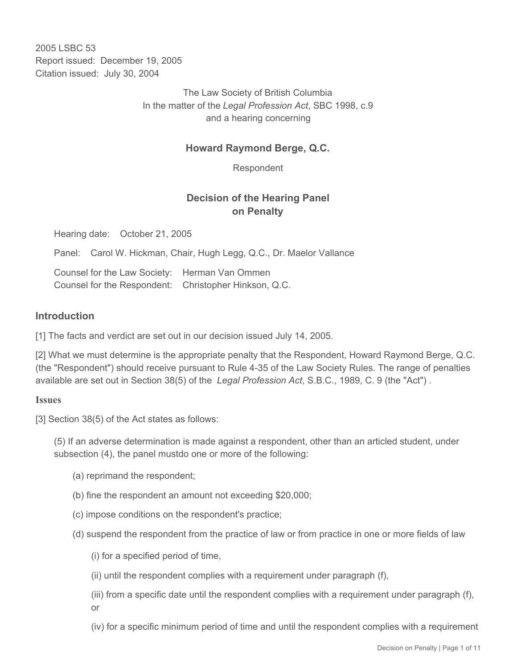2005 LSBC 53 Report issued: December 19, 2005 Citation issued: July 30, 2004

> The Law Society of British Columbia In the matter of the *Legal Profession Act*, SBC 1998, c.9 and a hearing concerning

## **Howard Raymond Berge, Q.C.**

Respondent

## **Decision of the Hearing Panel on Penalty**

Hearing date: October 21, 2005

Panel: Carol W. Hickman, Chair, Hugh Legg, Q.C., Dr. Maelor Vallance

Counsel for the Law Society: Herman Van Ommen Counsel for the Respondent: Christopher Hinkson, Q.C.

#### **Introduction**

[1] The facts and verdict are set out in our decision issued July 14, 2005.

[2] What we must determine is the appropriate penalty that the Respondent, Howard Raymond Berge, Q.C. (the "Respondent") should receive pursuant to Rule 4-35 of the Law Society Rules. The range of penalties available are set out in Section 38(5) of the *Legal Profession Act*, S.B.C., 1989, C. 9 (the "Act") .

#### **Issues**

[3] Section 38(5) of the Act states as follows:

(5) If an adverse determination is made against a respondent, other than an articled student, under subsection (4), the panel mustdo one or more of the following:

- (a) reprimand the respondent;
- (b) fine the respondent an amount not exceeding \$20,000;
- (c) impose conditions on the respondent's practice;
- (d) suspend the respondent from the practice of law or from practice in one or more fields of law
	- (i) for a specified period of time,
	- (ii) until the respondent complies with a requirement under paragraph (f),
	- (iii) from a specific date until the respondent complies with a requirement under paragraph (f), or
	- (iv) for a specific minimum period of time and until the respondent complies with a requirement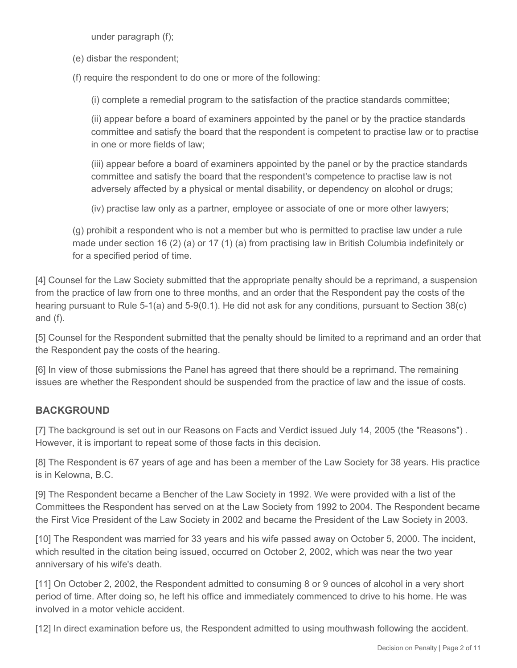under paragraph (f);

(e) disbar the respondent;

(f) require the respondent to do one or more of the following:

(i) complete a remedial program to the satisfaction of the practice standards committee;

(ii) appear before a board of examiners appointed by the panel or by the practice standards committee and satisfy the board that the respondent is competent to practise law or to practise in one or more fields of law;

(iii) appear before a board of examiners appointed by the panel or by the practice standards committee and satisfy the board that the respondent's competence to practise law is not adversely affected by a physical or mental disability, or dependency on alcohol or drugs;

(iv) practise law only as a partner, employee or associate of one or more other lawyers;

(g) prohibit a respondent who is not a member but who is permitted to practise law under a rule made under section 16 (2) (a) or 17 (1) (a) from practising law in British Columbia indefinitely or for a specified period of time.

[4] Counsel for the Law Society submitted that the appropriate penalty should be a reprimand, a suspension from the practice of law from one to three months, and an order that the Respondent pay the costs of the hearing pursuant to Rule 5-1(a) and 5-9(0.1). He did not ask for any conditions, pursuant to Section 38(c) and (f).

[5] Counsel for the Respondent submitted that the penalty should be limited to a reprimand and an order that the Respondent pay the costs of the hearing.

[6] In view of those submissions the Panel has agreed that there should be a reprimand. The remaining issues are whether the Respondent should be suspended from the practice of law and the issue of costs.

# **BACKGROUND**

[7] The background is set out in our Reasons on Facts and Verdict issued July 14, 2005 (the "Reasons"). However, it is important to repeat some of those facts in this decision.

[8] The Respondent is 67 years of age and has been a member of the Law Society for 38 years. His practice is in Kelowna, B.C.

[9] The Respondent became a Bencher of the Law Society in 1992. We were provided with a list of the Committees the Respondent has served on at the Law Society from 1992 to 2004. The Respondent became the First Vice President of the Law Society in 2002 and became the President of the Law Society in 2003.

[10] The Respondent was married for 33 years and his wife passed away on October 5, 2000. The incident, which resulted in the citation being issued, occurred on October 2, 2002, which was near the two year anniversary of his wife's death.

[11] On October 2, 2002, the Respondent admitted to consuming 8 or 9 ounces of alcohol in a very short period of time. After doing so, he left his office and immediately commenced to drive to his home. He was involved in a motor vehicle accident.

[12] In direct examination before us, the Respondent admitted to using mouthwash following the accident.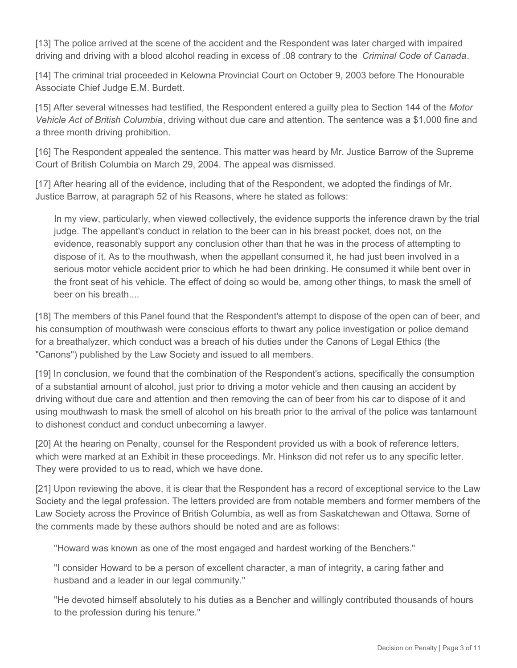[13] The police arrived at the scene of the accident and the Respondent was later charged with impaired driving and driving with a blood alcohol reading in excess of .08 contrary to the *Criminal Code of Canada*.

[14] The criminal trial proceeded in Kelowna Provincial Court on October 9, 2003 before The Honourable Associate Chief Judge E.M. Burdett.

[15] After several witnesses had testified, the Respondent entered a guilty plea to Section 144 of the *Motor Vehicle Act of British Columbia*, driving without due care and attention. The sentence was a \$1,000 fine and a three month driving prohibition.

[16] The Respondent appealed the sentence. This matter was heard by Mr. Justice Barrow of the Supreme Court of British Columbia on March 29, 2004. The appeal was dismissed.

[17] After hearing all of the evidence, including that of the Respondent, we adopted the findings of Mr. Justice Barrow, at paragraph 52 of his Reasons, where he stated as follows:

In my view, particularly, when viewed collectively, the evidence supports the inference drawn by the trial judge. The appellant's conduct in relation to the beer can in his breast pocket, does not, on the evidence, reasonably support any conclusion other than that he was in the process of attempting to dispose of it. As to the mouthwash, when the appellant consumed it, he had just been involved in a serious motor vehicle accident prior to which he had been drinking. He consumed it while bent over in the front seat of his vehicle. The effect of doing so would be, among other things, to mask the smell of beer on his breath....

[18] The members of this Panel found that the Respondent's attempt to dispose of the open can of beer, and his consumption of mouthwash were conscious efforts to thwart any police investigation or police demand for a breathalyzer, which conduct was a breach of his duties under the Canons of Legal Ethics (the "Canons") published by the Law Society and issued to all members.

[19] In conclusion, we found that the combination of the Respondent's actions, specifically the consumption of a substantial amount of alcohol, just prior to driving a motor vehicle and then causing an accident by driving without due care and attention and then removing the can of beer from his car to dispose of it and using mouthwash to mask the smell of alcohol on his breath prior to the arrival of the police was tantamount to dishonest conduct and conduct unbecoming a lawyer.

[20] At the hearing on Penalty, counsel for the Respondent provided us with a book of reference letters, which were marked at an Exhibit in these proceedings. Mr. Hinkson did not refer us to any specific letter. They were provided to us to read, which we have done.

[21] Upon reviewing the above, it is clear that the Respondent has a record of exceptional service to the Law Society and the legal profession. The letters provided are from notable members and former members of the Law Society across the Province of British Columbia, as well as from Saskatchewan and Ottawa. Some of the comments made by these authors should be noted and are as follows:

"Howard was known as one of the most engaged and hardest working of the Benchers."

"I consider Howard to be a person of excellent character, a man of integrity, a caring father and husband and a leader in our legal community."

"He devoted himself absolutely to his duties as a Bencher and willingly contributed thousands of hours to the profession during his tenure."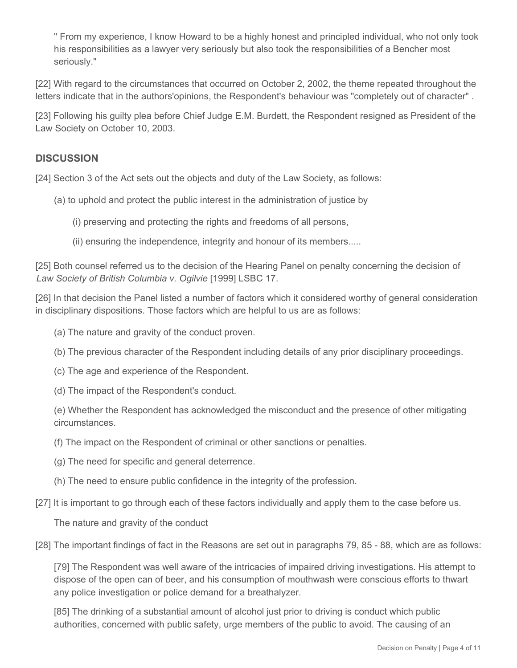" From my experience, I know Howard to be a highly honest and principled individual, who not only took his responsibilities as a lawyer very seriously but also took the responsibilities of a Bencher most seriously."

[22] With regard to the circumstances that occurred on October 2, 2002, the theme repeated throughout the letters indicate that in the authors'opinions, the Respondent's behaviour was "completely out of character" .

[23] Following his guilty plea before Chief Judge E.M. Burdett, the Respondent resigned as President of the Law Society on October 10, 2003.

### **DISCUSSION**

[24] Section 3 of the Act sets out the objects and duty of the Law Society, as follows:

- (a) to uphold and protect the public interest in the administration of justice by
	- (i) preserving and protecting the rights and freedoms of all persons,
	- (ii) ensuring the independence, integrity and honour of its members.....

[25] Both counsel referred us to the decision of the Hearing Panel on penalty concerning the decision of *Law Society of British Columbia v. Ogilvie* [1999] LSBC 17.

[26] In that decision the Panel listed a number of factors which it considered worthy of general consideration in disciplinary dispositions. Those factors which are helpful to us are as follows:

- (a) The nature and gravity of the conduct proven.
- (b) The previous character of the Respondent including details of any prior disciplinary proceedings.
- (c) The age and experience of the Respondent.
- (d) The impact of the Respondent's conduct.

(e) Whether the Respondent has acknowledged the misconduct and the presence of other mitigating circumstances.

- (f) The impact on the Respondent of criminal or other sanctions or penalties.
- (g) The need for specific and general deterrence.
- (h) The need to ensure public confidence in the integrity of the profession.
- [27] It is important to go through each of these factors individually and apply them to the case before us.

The nature and gravity of the conduct

[28] The important findings of fact in the Reasons are set out in paragraphs 79, 85 - 88, which are as follows:

[79] The Respondent was well aware of the intricacies of impaired driving investigations. His attempt to dispose of the open can of beer, and his consumption of mouthwash were conscious efforts to thwart any police investigation or police demand for a breathalyzer.

[85] The drinking of a substantial amount of alcohol just prior to driving is conduct which public authorities, concerned with public safety, urge members of the public to avoid. The causing of an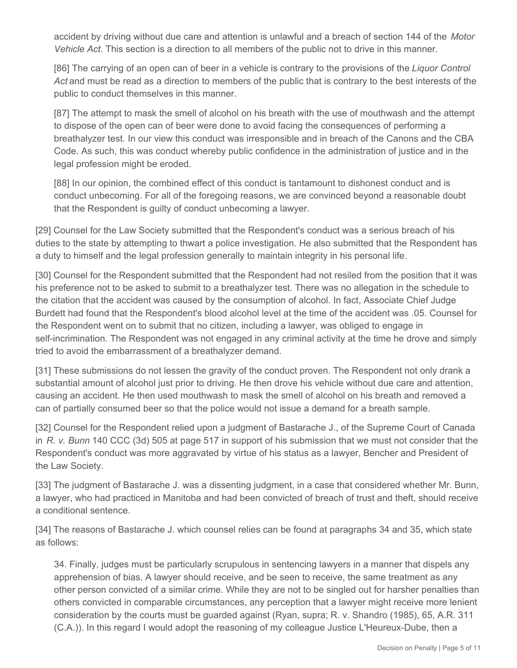accident by driving without due care and attention is unlawful and a breach of section 144 of the *Motor Vehicle Act*. This section is a direction to all members of the public not to drive in this manner.

[86] The carrying of an open can of beer in a vehicle is contrary to the provisions of the *Liquor Control Act* and must be read as a direction to members of the public that is contrary to the best interests of the public to conduct themselves in this manner.

[87] The attempt to mask the smell of alcohol on his breath with the use of mouthwash and the attempt to dispose of the open can of beer were done to avoid facing the consequences of performing a breathalyzer test. In our view this conduct was irresponsible and in breach of the Canons and the CBA Code. As such, this was conduct whereby public confidence in the administration of justice and in the legal profession might be eroded.

[88] In our opinion, the combined effect of this conduct is tantamount to dishonest conduct and is conduct unbecoming. For all of the foregoing reasons, we are convinced beyond a reasonable doubt that the Respondent is guilty of conduct unbecoming a lawyer.

[29] Counsel for the Law Society submitted that the Respondent's conduct was a serious breach of his duties to the state by attempting to thwart a police investigation. He also submitted that the Respondent has a duty to himself and the legal profession generally to maintain integrity in his personal life.

[30] Counsel for the Respondent submitted that the Respondent had not resiled from the position that it was his preference not to be asked to submit to a breathalyzer test. There was no allegation in the schedule to the citation that the accident was caused by the consumption of alcohol. In fact, Associate Chief Judge Burdett had found that the Respondent's blood alcohol level at the time of the accident was .05. Counsel for the Respondent went on to submit that no citizen, including a lawyer, was obliged to engage in self-incrimination. The Respondent was not engaged in any criminal activity at the time he drove and simply tried to avoid the embarrassment of a breathalyzer demand.

[31] These submissions do not lessen the gravity of the conduct proven. The Respondent not only drank a substantial amount of alcohol just prior to driving. He then drove his vehicle without due care and attention, causing an accident. He then used mouthwash to mask the smell of alcohol on his breath and removed a can of partially consumed beer so that the police would not issue a demand for a breath sample.

[32] Counsel for the Respondent relied upon a judgment of Bastarache J., of the Supreme Court of Canada in *R. v. Bunn* 140 CCC (3d) 505 at page 517 in support of his submission that we must not consider that the Respondent's conduct was more aggravated by virtue of his status as a lawyer, Bencher and President of the Law Society.

[33] The judgment of Bastarache J. was a dissenting judgment, in a case that considered whether Mr. Bunn, a lawyer, who had practiced in Manitoba and had been convicted of breach of trust and theft, should receive a conditional sentence.

[34] The reasons of Bastarache J. which counsel relies can be found at paragraphs 34 and 35, which state as follows:

34. Finally, judges must be particularly scrupulous in sentencing lawyers in a manner that dispels any apprehension of bias. A lawyer should receive, and be seen to receive, the same treatment as any other person convicted of a similar crime. While they are not to be singled out for harsher penalties than others convicted in comparable circumstances, any perception that a lawyer might receive more lenient consideration by the courts must be guarded against (Ryan, supra; R. v. Shandro (1985), 65, A.R. 311 (C.A.)). In this regard I would adopt the reasoning of my colleague Justice L'Heureux-Dube, then a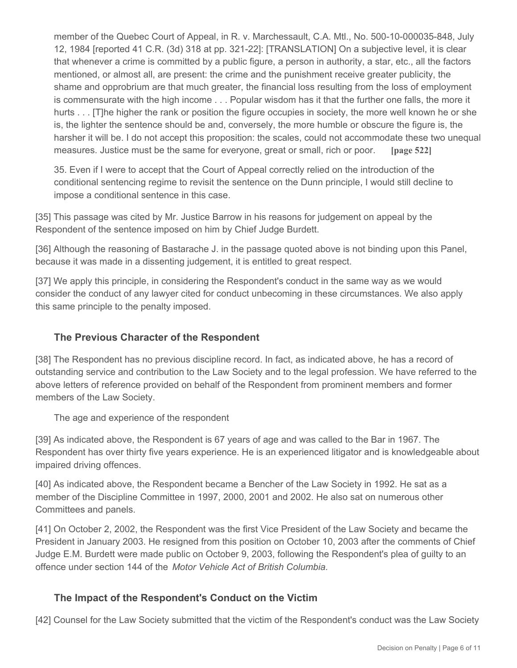member of the Quebec Court of Appeal, in R. v. Marchessault, C.A. Mtl., No. 500-10-000035-848, July 12, 1984 [reported 41 C.R. (3d) 318 at pp. 321-22]: [TRANSLATION] On a subjective level, it is clear that whenever a crime is committed by a public figure, a person in authority, a star, etc., all the factors mentioned, or almost all, are present: the crime and the punishment receive greater publicity, the shame and opprobrium are that much greater, the financial loss resulting from the loss of employment is commensurate with the high income . . . Popular wisdom has it that the further one falls, the more it hurts . . . [T]he higher the rank or position the figure occupies in society, the more well known he or she is, the lighter the sentence should be and, conversely, the more humble or obscure the figure is, the harsher it will be. I do not accept this proposition: the scales, could not accommodate these two unequal measures. Justice must be the same for everyone, great or small, rich or poor. **[page 522]**

35. Even if I were to accept that the Court of Appeal correctly relied on the introduction of the conditional sentencing regime to revisit the sentence on the Dunn principle, I would still decline to impose a conditional sentence in this case.

[35] This passage was cited by Mr. Justice Barrow in his reasons for judgement on appeal by the Respondent of the sentence imposed on him by Chief Judge Burdett.

[36] Although the reasoning of Bastarache J. in the passage quoted above is not binding upon this Panel, because it was made in a dissenting judgement, it is entitled to great respect.

[37] We apply this principle, in considering the Respondent's conduct in the same way as we would consider the conduct of any lawyer cited for conduct unbecoming in these circumstances. We also apply this same principle to the penalty imposed.

## **The Previous Character of the Respondent**

[38] The Respondent has no previous discipline record. In fact, as indicated above, he has a record of outstanding service and contribution to the Law Society and to the legal profession. We have referred to the above letters of reference provided on behalf of the Respondent from prominent members and former members of the Law Society.

The age and experience of the respondent

[39] As indicated above, the Respondent is 67 years of age and was called to the Bar in 1967. The Respondent has over thirty five years experience. He is an experienced litigator and is knowledgeable about impaired driving offences.

[40] As indicated above, the Respondent became a Bencher of the Law Society in 1992. He sat as a member of the Discipline Committee in 1997, 2000, 2001 and 2002. He also sat on numerous other Committees and panels.

[41] On October 2, 2002, the Respondent was the first Vice President of the Law Society and became the President in January 2003. He resigned from this position on October 10, 2003 after the comments of Chief Judge E.M. Burdett were made public on October 9, 2003, following the Respondent's plea of guilty to an offence under section 144 of the *Motor Vehicle Act of British Columbia.* 

## **The Impact of the Respondent's Conduct on the Victim**

[42] Counsel for the Law Society submitted that the victim of the Respondent's conduct was the Law Society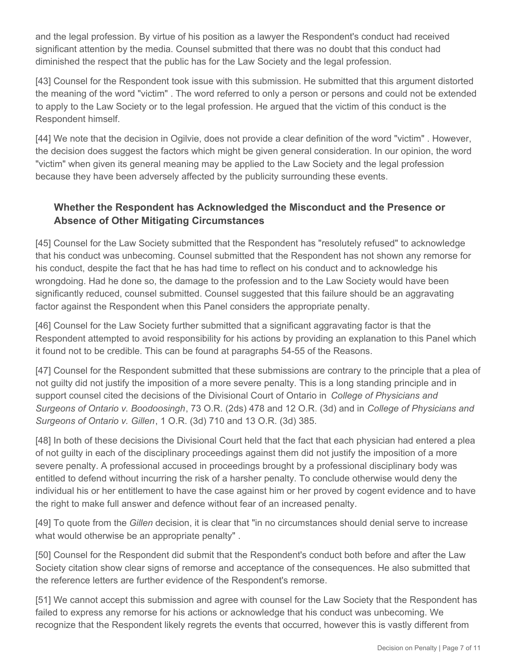and the legal profession. By virtue of his position as a lawyer the Respondent's conduct had received significant attention by the media. Counsel submitted that there was no doubt that this conduct had diminished the respect that the public has for the Law Society and the legal profession.

[43] Counsel for the Respondent took issue with this submission. He submitted that this argument distorted the meaning of the word "victim" . The word referred to only a person or persons and could not be extended to apply to the Law Society or to the legal profession. He argued that the victim of this conduct is the Respondent himself.

[44] We note that the decision in Ogilvie, does not provide a clear definition of the word "victim" . However, the decision does suggest the factors which might be given general consideration. In our opinion, the word "victim" when given its general meaning may be applied to the Law Society and the legal profession because they have been adversely affected by the publicity surrounding these events.

## **Whether the Respondent has Acknowledged the Misconduct and the Presence or Absence of Other Mitigating Circumstances**

[45] Counsel for the Law Society submitted that the Respondent has "resolutely refused" to acknowledge that his conduct was unbecoming. Counsel submitted that the Respondent has not shown any remorse for his conduct, despite the fact that he has had time to reflect on his conduct and to acknowledge his wrongdoing. Had he done so, the damage to the profession and to the Law Society would have been significantly reduced, counsel submitted. Counsel suggested that this failure should be an aggravating factor against the Respondent when this Panel considers the appropriate penalty.

[46] Counsel for the Law Society further submitted that a significant aggravating factor is that the Respondent attempted to avoid responsibility for his actions by providing an explanation to this Panel which it found not to be credible. This can be found at paragraphs 54-55 of the Reasons.

[47] Counsel for the Respondent submitted that these submissions are contrary to the principle that a plea of not guilty did not justify the imposition of a more severe penalty. This is a long standing principle and in support counsel cited the decisions of the Divisional Court of Ontario in *College of Physicians and Surgeons of Ontario v. Boodoosingh*, 73 O.R. (2ds) 478 and 12 O.R. (3d) and in *College of Physicians and Surgeons of Ontario v. Gillen*, 1 O.R. (3d) 710 and 13 O.R. (3d) 385.

[48] In both of these decisions the Divisional Court held that the fact that each physician had entered a plea of not guilty in each of the disciplinary proceedings against them did not justify the imposition of a more severe penalty. A professional accused in proceedings brought by a professional disciplinary body was entitled to defend without incurring the risk of a harsher penalty. To conclude otherwise would deny the individual his or her entitlement to have the case against him or her proved by cogent evidence and to have the right to make full answer and defence without fear of an increased penalty.

[49] To quote from the *Gillen* decision, it is clear that "in no circumstances should denial serve to increase what would otherwise be an appropriate penalty" .

[50] Counsel for the Respondent did submit that the Respondent's conduct both before and after the Law Society citation show clear signs of remorse and acceptance of the consequences. He also submitted that the reference letters are further evidence of the Respondent's remorse.

[51] We cannot accept this submission and agree with counsel for the Law Society that the Respondent has failed to express any remorse for his actions or acknowledge that his conduct was unbecoming. We recognize that the Respondent likely regrets the events that occurred, however this is vastly different from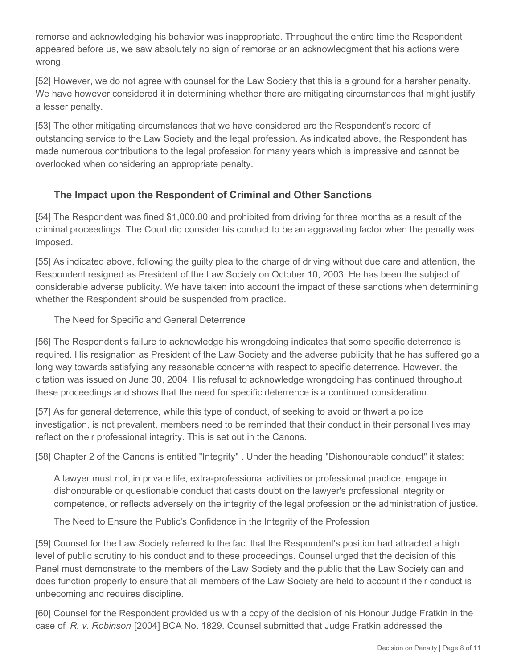remorse and acknowledging his behavior was inappropriate. Throughout the entire time the Respondent appeared before us, we saw absolutely no sign of remorse or an acknowledgment that his actions were wrong.

[52] However, we do not agree with counsel for the Law Society that this is a ground for a harsher penalty. We have however considered it in determining whether there are mitigating circumstances that might justify a lesser penalty.

[53] The other mitigating circumstances that we have considered are the Respondent's record of outstanding service to the Law Society and the legal profession. As indicated above, the Respondent has made numerous contributions to the legal profession for many years which is impressive and cannot be overlooked when considering an appropriate penalty.

## **The Impact upon the Respondent of Criminal and Other Sanctions**

[54] The Respondent was fined \$1,000.00 and prohibited from driving for three months as a result of the criminal proceedings. The Court did consider his conduct to be an aggravating factor when the penalty was imposed.

[55] As indicated above, following the guilty plea to the charge of driving without due care and attention, the Respondent resigned as President of the Law Society on October 10, 2003. He has been the subject of considerable adverse publicity. We have taken into account the impact of these sanctions when determining whether the Respondent should be suspended from practice.

The Need for Specific and General Deterrence

[56] The Respondent's failure to acknowledge his wrongdoing indicates that some specific deterrence is required. His resignation as President of the Law Society and the adverse publicity that he has suffered go a long way towards satisfying any reasonable concerns with respect to specific deterrence. However, the citation was issued on June 30, 2004. His refusal to acknowledge wrongdoing has continued throughout these proceedings and shows that the need for specific deterrence is a continued consideration.

[57] As for general deterrence, while this type of conduct, of seeking to avoid or thwart a police investigation, is not prevalent, members need to be reminded that their conduct in their personal lives may reflect on their professional integrity. This is set out in the Canons.

[58] Chapter 2 of the Canons is entitled "Integrity" . Under the heading "Dishonourable conduct" it states:

A lawyer must not, in private life, extra-professional activities or professional practice, engage in dishonourable or questionable conduct that casts doubt on the lawyer's professional integrity or competence, or reflects adversely on the integrity of the legal profession or the administration of justice.

The Need to Ensure the Public's Confidence in the Integrity of the Profession

[59] Counsel for the Law Society referred to the fact that the Respondent's position had attracted a high level of public scrutiny to his conduct and to these proceedings. Counsel urged that the decision of this Panel must demonstrate to the members of the Law Society and the public that the Law Society can and does function properly to ensure that all members of the Law Society are held to account if their conduct is unbecoming and requires discipline.

[60] Counsel for the Respondent provided us with a copy of the decision of his Honour Judge Fratkin in the case of *R. v. Robinson* [2004] BCA No. 1829. Counsel submitted that Judge Fratkin addressed the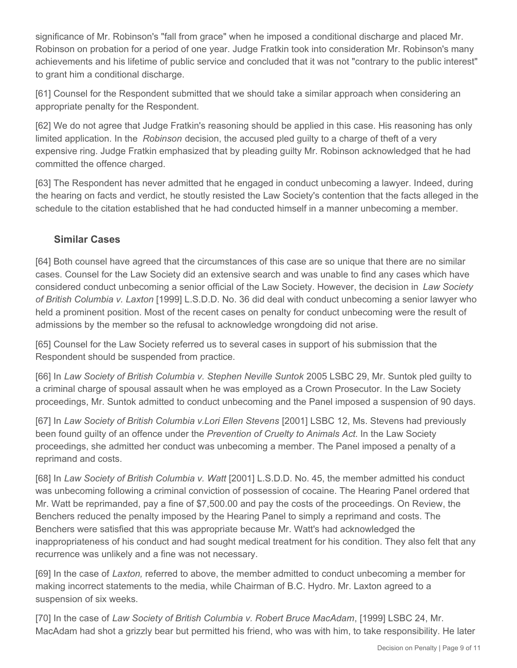significance of Mr. Robinson's "fall from grace" when he imposed a conditional discharge and placed Mr. Robinson on probation for a period of one year. Judge Fratkin took into consideration Mr. Robinson's many achievements and his lifetime of public service and concluded that it was not "contrary to the public interest" to grant him a conditional discharge.

[61] Counsel for the Respondent submitted that we should take a similar approach when considering an appropriate penalty for the Respondent.

[62] We do not agree that Judge Fratkin's reasoning should be applied in this case. His reasoning has only limited application. In the *Robinson* decision, the accused pled guilty to a charge of theft of a very expensive ring. Judge Fratkin emphasized that by pleading guilty Mr. Robinson acknowledged that he had committed the offence charged.

[63] The Respondent has never admitted that he engaged in conduct unbecoming a lawyer. Indeed, during the hearing on facts and verdict, he stoutly resisted the Law Society's contention that the facts alleged in the schedule to the citation established that he had conducted himself in a manner unbecoming a member.

## **Similar Cases**

[64] Both counsel have agreed that the circumstances of this case are so unique that there are no similar cases. Counsel for the Law Society did an extensive search and was unable to find any cases which have considered conduct unbecoming a senior official of the Law Society. However, the decision in *Law Society of British Columbia v. Laxton* [1999] L.S.D.D. No. 36 did deal with conduct unbecoming a senior lawyer who held a prominent position. Most of the recent cases on penalty for conduct unbecoming were the result of admissions by the member so the refusal to acknowledge wrongdoing did not arise.

[65] Counsel for the Law Society referred us to several cases in support of his submission that the Respondent should be suspended from practice.

[66] In *Law Society of British Columbia v. Stephen Neville Suntok* 2005 LSBC 29, Mr. Suntok pled guilty to a criminal charge of spousal assault when he was employed as a Crown Prosecutor. In the Law Society proceedings, Mr. Suntok admitted to conduct unbecoming and the Panel imposed a suspension of 90 days.

[67] In *Law Society of British Columbia v.Lori Ellen Stevens* [2001] LSBC 12, Ms. Stevens had previously been found guilty of an offence under the *Prevention of Cruelty to Animals Act.* In the Law Society proceedings, she admitted her conduct was unbecoming a member. The Panel imposed a penalty of a reprimand and costs.

[68] In *Law Society of British Columbia v. Watt* [2001] L.S.D.D. No. 45, the member admitted his conduct was unbecoming following a criminal conviction of possession of cocaine. The Hearing Panel ordered that Mr. Watt be reprimanded, pay a fine of \$7,500.00 and pay the costs of the proceedings. On Review, the Benchers reduced the penalty imposed by the Hearing Panel to simply a reprimand and costs. The Benchers were satisfied that this was appropriate because Mr. Watt's had acknowledged the inappropriateness of his conduct and had sought medical treatment for his condition. They also felt that any recurrence was unlikely and a fine was not necessary.

[69] In the case of *Laxton,* referred to above, the member admitted to conduct unbecoming a member for making incorrect statements to the media, while Chairman of B.C. Hydro. Mr. Laxton agreed to a suspension of six weeks.

[70] In the case of *Law Society of British Columbia v. Robert Bruce MacAdam*, [1999] LSBC 24, Mr. MacAdam had shot a grizzly bear but permitted his friend, who was with him, to take responsibility. He later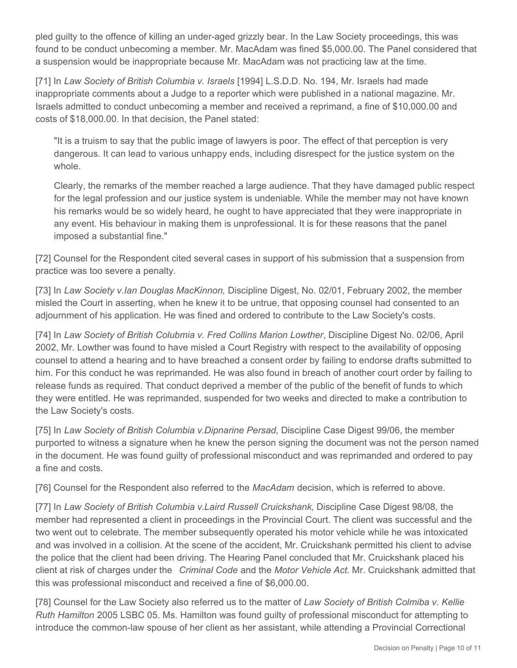pled guilty to the offence of killing an under-aged grizzly bear. In the Law Society proceedings, this was found to be conduct unbecoming a member. Mr. MacAdam was fined \$5,000.00. The Panel considered that a suspension would be inappropriate because Mr. MacAdam was not practicing law at the time.

[71] In *Law Society of British Columbia v. Israels* [1994] L.S.D.D. No. 194, Mr. Israels had made inappropriate comments about a Judge to a reporter which were published in a national magazine. Mr. Israels admitted to conduct unbecoming a member and received a reprimand, a fine of \$10,000.00 and costs of \$18,000.00. In that decision, the Panel stated:

"It is a truism to say that the public image of lawyers is poor. The effect of that perception is very dangerous. It can lead to various unhappy ends, including disrespect for the justice system on the whole.

Clearly, the remarks of the member reached a large audience. That they have damaged public respect for the legal profession and our justice system is undeniable. While the member may not have known his remarks would be so widely heard, he ought to have appreciated that they were inappropriate in any event. His behaviour in making them is unprofessional. It is for these reasons that the panel imposed a substantial fine."

[72] Counsel for the Respondent cited several cases in support of his submission that a suspension from practice was too severe a penalty.

[73] In *Law Society v.Ian Douglas MacKinnon,* Discipline Digest, No. 02/01, February 2002, the member misled the Court in asserting, when he knew it to be untrue, that opposing counsel had consented to an adjournment of his application. He was fined and ordered to contribute to the Law Society's costs.

[74] In *Law Society of British Colubmia v. Fred Collins Marion Lowther*, Discipline Digest No. 02/06, April 2002, Mr. Lowther was found to have misled a Court Registry with respect to the availability of opposing counsel to attend a hearing and to have breached a consent order by failing to endorse drafts submitted to him. For this conduct he was reprimanded. He was also found in breach of another court order by failing to release funds as required. That conduct deprived a member of the public of the benefit of funds to which they were entitled. He was reprimanded, suspended for two weeks and directed to make a contribution to the Law Society's costs.

[75] In *Law Society of British Columbia v.Dipnarine Persad,* Discipline Case Digest 99/06, the member purported to witness a signature when he knew the person signing the document was not the person named in the document. He was found guilty of professional misconduct and was reprimanded and ordered to pay a fine and costs.

[76] Counsel for the Respondent also referred to the *MacAdam* decision, which is referred to above.

[77] In *Law Society of British Columbia v.Laird Russell Cruickshank,* Discipline Case Digest 98/08, the member had represented a client in proceedings in the Provincial Court. The client was successful and the two went out to celebrate. The member subsequently operated his motor vehicle while he was intoxicated and was involved in a collision. At the scene of the accident, Mr. Cruickshank permitted his client to advise the police that the client had been driving. The Hearing Panel concluded that Mr. Cruickshank placed his client at risk of charges under the *Criminal Code* and the *Motor Vehicle Act*. Mr. Cruickshank admitted that this was professional misconduct and received a fine of \$6,000.00.

[78] Counsel for the Law Society also referred us to the matter of *Law Society of British Colmiba v. Kellie Ruth Hamilton* 2005 LSBC 05. Ms. Hamilton was found guilty of professional misconduct for attempting to introduce the common-law spouse of her client as her assistant, while attending a Provincial Correctional